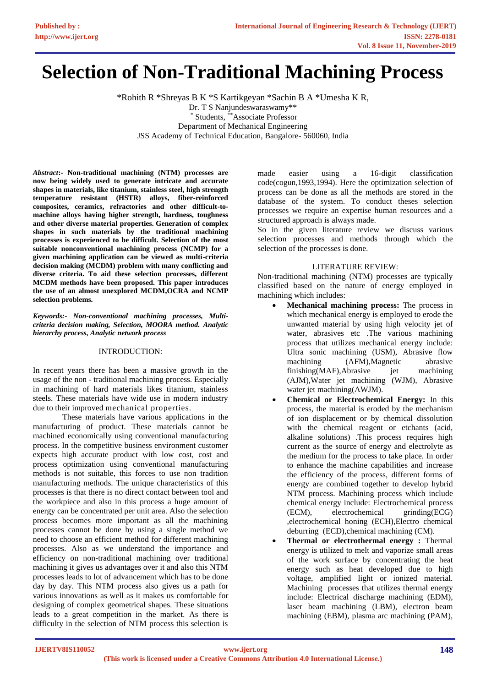# **Selection of Non-Traditional Machining Process**

\*Rohith R \*Shreyas B K \*S Kartikgeyan \*Sachin B A \*Umesha K R, Dr. T S Nanjundeswaraswamy\*\* \* Students, \*\*Associate Professor Department of Mechanical Engineering JSS Academy of Technical Education, Bangalore- 560060, India

*Abstract***:- Non-traditional machining (NTM) processes are now being widely used to generate intricate and accurate shapes in materials, like titanium, stainless steel, high strength temperature resistant (HSTR) alloys, fiber-reinforced composites, ceramics, refractories and other difficult-tomachine alloys having higher strength, hardness, toughness and other diverse material properties. Generation of complex shapes in such materials by the traditional machining processes is experienced to be difficult. Selection of the most suitable nonconventional machining process (NCMP) for a given machining application can be viewed as multi-criteria decision making (MCDM) problem with many conflicting and diverse criteria. To aid these selection processes, different MCDM methods have been proposed. This paper introduces the use of an almost unexplored MCDM,OCRA and NCMP selection problems.** 

*Keywords:- Non-conventional machining processes, Multicriteria decision making, Selection, MOORA method. Analytic hierarchy process, Analytic network process*

#### INTRODUCTION:

In recent years there has been a massive growth in the usage of the non - traditional machining process. Especially in machining of hard materials likes titanium, stainless steels. These materials have wide use in modern industry due to their improved mechanical properties.

These materials have various applications in the manufacturing of product. These materials cannot be machined economically using conventional manufacturing process. In the competitive business environment customer expects high accurate product with low cost, cost and process optimization using conventional manufacturing methods is not suitable, this forces to use non tradition manufacturing methods. The unique characteristics of this processes is that there is no direct contact between tool and the workpiece and also in this process a huge amount of energy can be concentrated per unit area. Also the selection process becomes more important as all the machining processes cannot be done by using a single method we need to choose an efficient method for different machining processes. Also as we understand the importance and efficiency on non-traditional machining over traditional machining it gives us advantages over it and also this NTM processes leads to lot of advancement which has to be done day by day. This NTM process also gives us a path for various innovations as well as it makes us comfortable for designing of complex geometrical shapes. These situations leads to a great competition in the market. As there is difficulty in the selection of NTM process this selection is

made easier using a 16-digit classification code(cogun,1993,1994). Here the optimization selection of process can be done as all the methods are stored in the database of the system. To conduct theses selection processes we require an expertise human resources and a structured approach is always made.

So in the given literature review we discuss various selection processes and methods through which the selection of the processes is done.

## LITERATURE REVIEW:

Non-traditional machining (NTM) processes are typically classified based on the nature of energy employed in machining which includes:

- **Mechanical machining process:** The process in which mechanical energy is employed to erode the unwanted material by using high velocity jet of water, abrasives etc .The various machining process that utilizes mechanical energy include: Ultra sonic machining (USM), Abrasive flow machining (AFM),Magnetic abrasive finishing(MAF),Abrasive jet machining (AJM),Water jet machining (WJM), Abrasive water jet machining(AWJM).
- **Chemical or Electrochemical Energy:** In this process, the material is eroded by the mechanism of ion displacement or by chemical dissolution with the chemical reagent or etchants (acid, alkaline solutions) .This process requires high current as the source of energy and electrolyte as the medium for the process to take place. In order to enhance the machine capabilities and increase the efficiency of the process, different forms of energy are combined together to develop hybrid NTM process. Machining process which include chemical energy include: Electrochemical process (ECM), electrochemical grinding(ECG) ,electrochemical honing (ECH),Electro chemical deburring (ECD),chemical machining (CM).
- **Thermal or electrothermal energy :** Thermal energy is utilized to melt and vaporize small areas of the work surface by concentrating the heat energy such as heat developed due to high voltage, amplified light or ionized material. Machining processes that utilizes thermal energy include: Electrical discharge machining (EDM), laser beam machining (LBM), electron beam machining (EBM), plasma arc machining (PAM),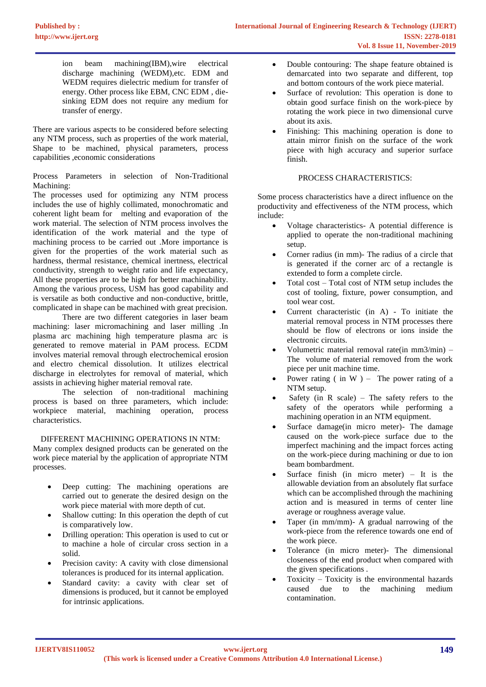ion beam machining(IBM),wire electrical discharge machining (WEDM),etc. EDM and WEDM requires dielectric medium for transfer of energy. Other process like EBM, CNC EDM , diesinking EDM does not require any medium for transfer of energy.

There are various aspects to be considered before selecting any NTM process, such as properties of the work material, Shape to be machined, physical parameters, process capabilities ,economic considerations

Process Parameters in selection of Non-Traditional Machining:

The processes used for optimizing any NTM process includes the use of highly collimated, monochromatic and coherent light beam for melting and evaporation of the work material. The selection of NTM process involves the identification of the work material and the type of machining process to be carried out .More importance is given for the properties of the work material such as hardness, thermal resistance, chemical inertness, electrical conductivity, strength to weight ratio and life expectancy, All these properties are to be high for better machinability. Among the various process, USM has good capability and is versatile as both conductive and non-conductive, brittle, complicated in shape can be machined with great precision.

There are two different categories in laser beam machining: laser micromachining and laser milling .In plasma arc machining high temperature plasma arc is generated to remove material in PAM process. ECDM involves material removal through electrochemical erosion and electro chemical dissolution. It utilizes electrical discharge in electrolytes for removal of material, which assists in achieving higher material removal rate.

The selection of non-traditional machining process is based on three parameters, which include: workpiece material, machining operation, process characteristics.

#### DIFFERENT MACHINING OPERATIONS IN NTM:

Many complex designed products can be generated on the work piece material by the application of appropriate NTM processes.

- Deep cutting: The machining operations are carried out to generate the desired design on the work piece material with more depth of cut.
- Shallow cutting: In this operation the depth of cut is comparatively low.
- Drilling operation: This operation is used to cut or to machine a hole of circular cross section in a solid.
- Precision cavity: A cavity with close dimensional tolerances is produced for its internal application.
- Standard cavity: a cavity with clear set of dimensions is produced, but it cannot be employed for intrinsic applications.
- Double contouring: The shape feature obtained is demarcated into two separate and different, top and bottom contours of the work piece material.
- Surface of revolution: This operation is done to obtain good surface finish on the work-piece by rotating the work piece in two dimensional curve about its axis.
- Finishing: This machining operation is done to attain mirror finish on the surface of the work piece with high accuracy and superior surface finish.

## PROCESS CHARACTERISTICS:

Some process characteristics have a direct influence on the productivity and effectiveness of the NTM process, which include:

- Voltage characteristics- A potential difference is applied to operate the non-traditional machining setup.
- Corner radius (in mm)- The radius of a circle that is generated if the corner arc of a rectangle is extended to form a complete circle.
- Total cost  $-$  Total cost of NTM setup includes the cost of tooling, fixture, power consumption, and tool wear cost.
- Current characteristic (in A) To initiate the material removal process in NTM processes there should be flow of electrons or ions inside the electronic circuits.
- Volumetric material removal rate(in  $mm3/min$ ) The volume of material removed from the work piece per unit machine time.
- Power rating ( in W ) The power rating of a NTM setup.
- Safety (in R scale) The safety refers to the safety of the operators while performing a machining operation in an NTM equipment.
- Surface damage(in micro meter)- The damage caused on the work-piece surface due to the imperfect machining and the impact forces acting on the work-piece during machining or due to ion beam bombardment.
- Surface finish (in micro meter) It is the allowable deviation from an absolutely flat surface which can be accomplished through the machining action and is measured in terms of center line average or roughness average value.
- Taper (in mm/mm)- A gradual narrowing of the work-piece from the reference towards one end of the work piece.
- Tolerance (in micro meter)- The dimensional closeness of the end product when compared with the given specifications .
- Toxicity Toxicity is the environmental hazards caused due to the machining medium contamination.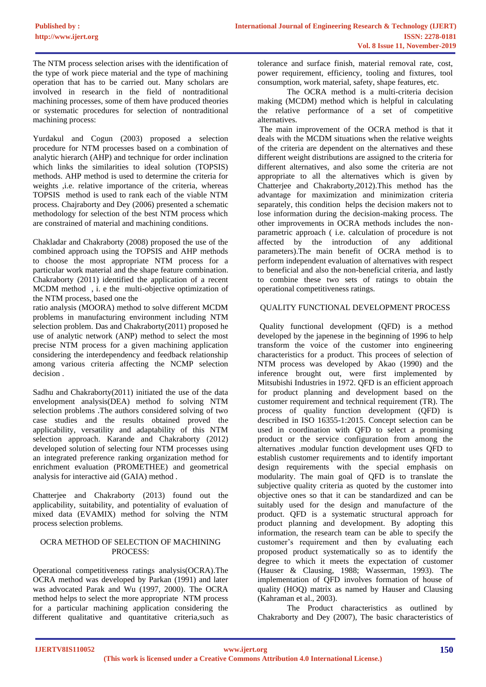The NTM process selection arises with the identification of the type of work piece material and the type of machining operation that has to be carried out. Many scholars are involved in research in the field of nontraditional machining processes, some of them have produced theories or systematic procedures for selection of nontraditional machining process:

Yurdakul and Cogun (2003) proposed a selection procedure for NTM processes based on a combination of analytic hierarch (AHP) and technique for order inclination which links the similarities to ideal solution (TOPSIS) methods. AHP method is used to determine the criteria for weights ,i.e. relative importance of the criteria, whereas TOPSIS method is used to rank each of the viable NTM process. Chajraborty and Dey (2006) presented a schematic methodology for selection of the best NTM process which are constrained of material and machining conditions.

Chakladar and Chakraborty (2008) proposed the use of the combined approach using the TOPSIS and AHP methods to choose the most appropriate NTM process for a particular work material and the shape feature combination. Chakraborty (2011) identified the application of a recent MCDM method , i. e the multi-objective optimization of the NTM process, based one the

ratio analysis (MOORA) method to solve different MCDM problems in manufacturing environment including NTM selection problem. Das and Chakraborty(2011) proposed he use of analytic network (ANP) method to select the most precise NTM process for a given machining application considering the interdependency and feedback relationship among various criteria affecting the NCMP selection decision .

Sadhu and Chakraborty(2011) initiated the use of the data envelopment analysis(DEA) method fo solving NTM selection problems .The authors considered solving of two case studies and the results obtained proved the applicability, versatility and adaptability of this NTM selection approach. Karande and Chakraborty (2012) developed solution of selecting four NTM processes using an integrated preference ranking organization method for enrichment evaluation (PROMETHEE) and geometrical analysis for interactive aid (GAIA) method .

Chatterjee and Chakraborty (2013) found out the applicability, suitability, and potentiality of evaluation of mixed data (EVAMIX) method for solving the NTM process selection problems.

#### OCRA METHOD OF SELECTION OF MACHINING PROCESS:

Operational competitiveness ratings analysis(OCRA).The OCRA method was developed by Parkan (1991) and later was advocated Parak and Wu (1997, 2000). The OCRA method helps to select the more appropriate NTM process for a particular machining application considering the different qualitative and quantitative criteria,such as tolerance and surface finish, material removal rate, cost, power requirement, efficiency, tooling and fixtures, tool consumption, work material, safety, shape features, etc.

The OCRA method is a multi-criteria decision making (MCDM) method which is helpful in calculating the relative performance of a set of competitive alternatives.

The main improvement of the OCRA method is that it deals with the MCDM situations when the relative weights of the criteria are dependent on the alternatives and these different weight distributions are assigned to the criteria for different alternatives, and also some the criteria are not appropriate to all the alternatives which is given by Chatterjee and Chakraborty,2012).This method has the advantage for maximization and minimization criteria separately, this condition helps the decision makers not to lose information during the decision-making process. The other improvements in OCRA methods includes the nonparametric approach ( i.e. calculation of procedure is not affected by the introduction of any additional parameters).The main benefit of OCRA method is to perform independent evaluation of alternatives with respect to beneficial and also the non-beneficial criteria, and lastly to combine these two sets of ratings to obtain the operational competitiveness ratings.

## QUALITY FUNCTIONAL DEVELOPMENT PROCESS

Quality functional development (QFD) is a method developed by the japenese in the beginning of 1996 to help transform the voice of the customer into engineering characteristics for a product. This procees of selection of NTM process was developed by Akao (1990) and the inference brought out, were first implemented by Mitsubishi Industries in 1972. QFD is an efficient approach for product planning and development based on the customer requirement and technical requirement (TR). The process of quality function development (QFD) is described in ISO 16355-1:2015. Concept selection can be used in coordination with QFD to select a promising product or the service configuration from among the alternatives .modular function development uses QFD to establish customer requirements and to identify important design requirements with the special emphasis on modularity. The main goal of QFD is to translate the subjective quality criteria as quoted by the customer into objective ones so that it can be standardized and can be suitably used for the design and manufacture of the product. QFD is a systematic structural approach for product planning and development. By adopting this information, the research team can be able to specify the customer's requirement and then by evaluating each proposed product systematically so as to identify the degree to which it meets the expectation of customer (Hauser & Clausing, 1988; Wasserman, 1993). The implementation of QFD involves formation of house of quality (HOQ) matrix as named by Hauser and Clausing (Kahraman et al., 2003).

The Product characteristics as outlined by Chakraborty and Dey (2007), The basic characteristics of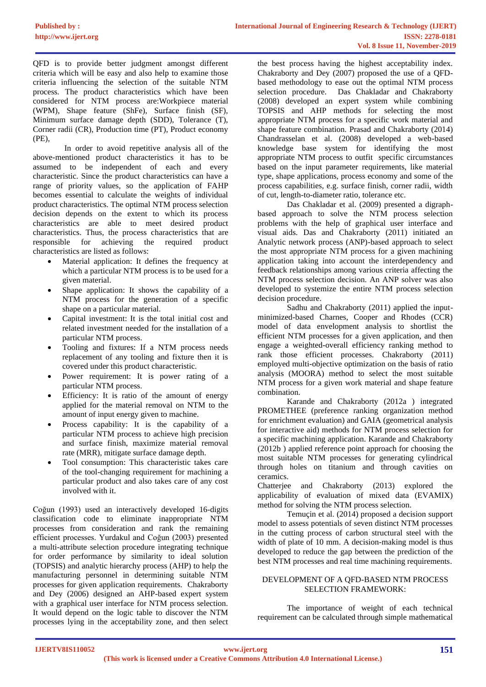QFD is to provide better judgment amongst different criteria which will be easy and also help to examine those criteria influencing the selection of the suitable NTM process. The product characteristics which have been considered for NTM process are:Workpiece material (WPM), Shape feature (ShFe), Surface finish (SF), Minimum surface damage depth (SDD), Tolerance (T), Corner radii (CR), Production time (PT), Product economy (PE),

In order to avoid repetitive analysis all of the above-mentioned product characteristics it has to be assumed to be independent of each and every characteristic. Since the product characteristics can have a range of priority values, so the application of FAHP becomes essential to calculate the weights of individual product characteristics. The optimal NTM process selection decision depends on the extent to which its process characteristics are able to meet desired product characteristics. Thus, the process characteristics that are responsible for achieving the required product characteristics are listed as follows:

- Material application: It defines the frequency at which a particular NTM process is to be used for a given material.
- Shape application: It shows the capability of a NTM process for the generation of a specific shape on a particular material.
- Capital investment: It is the total initial cost and related investment needed for the installation of a particular NTM process.
- Tooling and fixtures: If a NTM process needs replacement of any tooling and fixture then it is covered under this product characteristic.
- Power requirement: It is power rating of a particular NTM process.
- Efficiency: It is ratio of the amount of energy applied for the material removal on NTM to the amount of input energy given to machine.
- Process capability: It is the capability of a particular NTM process to achieve high precision and surface finish, maximize material removal rate (MRR), mitigate surface damage depth.
- Tool consumption: This characteristic takes care of the tool-changing requirement for machining a particular product and also takes care of any cost involved with it.

Coğun (1993) used an interactively developed 16-digits classification code to eliminate inappropriate NTM processes from consideration and rank the remaining efficient processes. Yurdakul and Coğun (2003) presented a multi-attribute selection procedure integrating technique for order performance by similarity to ideal solution (TOPSIS) and analytic hierarchy process (AHP) to help the manufacturing personnel in determining suitable NTM processes for given application requirements. Chakraborty and Dey (2006) designed an AHP-based expert system with a graphical user interface for NTM process selection. It would depend on the logic table to discover the NTM processes lying in the acceptability zone, and then select the best process having the highest acceptability index. Chakraborty and Dey (2007) proposed the use of a QFDbased methodology to ease out the optimal NTM process selection procedure. Das Chakladar and Chakraborty (2008) developed an expert system while combining TOPSIS and AHP methods for selecting the most appropriate NTM process for a specific work material and shape feature combination. Prasad and Chakraborty (2014) Chandrasselan et al. (2008) developed a web-based knowledge base system for identifying the most appropriate NTM process to outfit specific circumstances based on the input parameter requirements, like material type, shape applications, process economy and some of the process capabilities, e.g. surface finish, corner radii, width of cut, length-to-diameter ratio, tolerance etc.

Das Chakladar et al. (2009) presented a digraphbased approach to solve the NTM process selection problems with the help of graphical user interface and visual aids. Das and Chakraborty (2011) initiated an Analytic network process (ANP)-based approach to select the most appropriate NTM process for a given machining application taking into account the interdependency and feedback relationships among various criteria affecting the NTM process selection decision. An ANP solver was also developed to systemize the entire NTM process selection decision procedure.

Sadhu and Chakraborty (2011) applied the inputminimized-based Charnes, Cooper and Rhodes (CCR) model of data envelopment analysis to shortlist the efficient NTM processes for a given application, and then engage a weighted-overall efficiency ranking method to rank those efficient processes. Chakraborty (2011) employed multi-objective optimization on the basis of ratio analysis (MOORA) method to select the most suitable NTM process for a given work material and shape feature combination.

Karande and Chakraborty (2012a ) integrated PROMETHEE (preference ranking organization method for enrichment evaluation) and GAIA (geometrical analysis for interactive aid) methods for NTM process selection for a specific machining application. Karande and Chakraborty (2012b ) applied reference point approach for choosing the most suitable NTM processes for generating cylindrical through holes on titanium and through cavities on ceramics.

Chatterjee and Chakraborty (2013) explored the applicability of evaluation of mixed data (EVAMIX) method for solving the NTM process selection.

Temuçin et al. (2014) proposed a decision support model to assess potentials of seven distinct NTM processes in the cutting process of carbon structural steel with the width of plate of 10 mm. A decision-making model is thus developed to reduce the gap between the prediction of the best NTM processes and real time machining requirements.

## DEVELOPMENT OF A QFD-BASED NTM PROCESS SELECTION FRAMEWORK:

The importance of weight of each technical requirement can be calculated through simple mathematical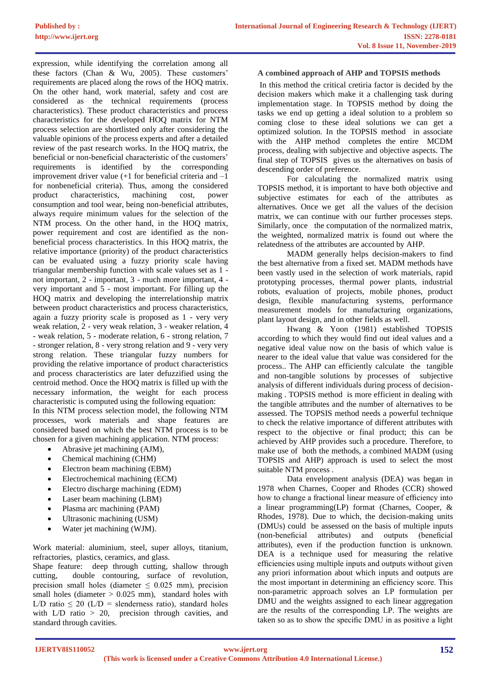expression, while identifying the correlation among all these factors (Chan & Wu, 2005). These customers' requirements are placed along the rows of the HOQ matrix. On the other hand, work material, safety and cost are considered as the technical requirements (process characteristics). These product characteristics and process characteristics for the developed HOQ matrix for NTM process selection are shortlisted only after considering the valuable opinions of the process experts and after a detailed review of the past research works. In the HOQ matrix, the beneficial or non-beneficial characteristic of the customers' requirements is identified by the corresponding improvement driver value  $(+1)$  for beneficial criteria and  $-1$ for nonbeneficial criteria). Thus, among the considered product characteristics, machining cost, power consumption and tool wear, being non-beneficial attributes, always require minimum values for the selection of the NTM process. On the other hand, in the HOQ matrix, power requirement and cost are identified as the nonbeneficial process characteristics. In this HOQ matrix, the relative importance (priority) of the product characteristics can be evaluated using a fuzzy priority scale having triangular membership function with scale values set as 1 not important, 2 - important, 3 - much more important, 4 very important and 5 - most important. For filling up the HOQ matrix and developing the interrelationship matrix between product characteristics and process characteristics, again a fuzzy priority scale is proposed as 1 - very very weak relation, 2 - very weak relation, 3 - weaker relation, 4 - weak relation, 5 - moderate relation, 6 - strong relation, 7 - stronger relation, 8 - very strong relation and 9 - very very strong relation. These triangular fuzzy numbers for providing the relative importance of product characteristics and process characteristics are later defuzzified using the centroid method. Once the HOQ matrix is filled up with the necessary information, the weight for each process characteristic is computed using the following equation: In this NTM process selection model, the following NTM processes, work materials and shape features are considered based on which the best NTM process is to be chosen for a given machining application. NTM process:

- Abrasive jet machining (AJM),
- Chemical machining (CHM)
- Electron beam machining (EBM)
- Electrochemical machining (ECM)
- Electro discharge machining (EDM)
- Laser beam machining (LBM)
- Plasma arc machining (PAM)
- Ultrasonic machining (USM)
- Water jet machining (WJM).

Work material: aluminium, steel, super alloys, titanium, refractories, plastics, ceramics, and glass.

Shape feature: deep through cutting, shallow through cutting, double contouring, surface of revolution, precision small holes (diameter  $\leq$  0.025 mm), precision small holes (diameter  $> 0.025$  mm), standard holes with L/D ratio  $\leq 20$  (L/D = slenderness ratio), standard holes with  $L/D$  ratio  $> 20$ , precision through cavities, and standard through cavities.

## **A combined approach of AHP and TOPSIS methods**

In this method the critical cretiria factor is decided by the decision makers which make it a challenging task during implementation stage. In TOPSIS method by doing the tasks we end up getting a ideal solution to a problem so coming close to these ideal solutions we can get a optimized solution. In the TOPSIS method in associate with the AHP method completes the entire MCDM process, dealing with subjective and objective aspects. The final step of TOPSIS gives us the alternatives on basis of descending order of preference.

For calculating the normalized matrix using TOPSIS method, it is important to have both objective and subjective estimates for each of the attributes as alternatives. Once we get all the values of the decision matrix, we can continue with our further processes steps. Similarly, once the computation of the normalized matrix, the weighted, normalized matrix is found out where the relatedness of the attributes are accounted by AHP.

MADM generally helps decision-makers to find the best alternative from a fixed set. MADM methods have been vastly used in the selection of work materials, rapid prototyping processes, thermal power plants, industrial robots, evaluation of projects, mobile phones, product design, flexible manufacturing systems, performance measurement models for manufacturing organizations, plant layout design, and in other fields as well.

Hwang & Yoon (1981) established TOPSIS according to which they would find out ideal values and a negative ideal value now on the basis of which value is nearer to the ideal value that value was considered for the process.. The AHP can efficiently calculate the tangible and non-tangible solutions by processes of subjective analysis of different individuals during process of decisionmaking . TOPSIS method is more efficient in dealing with the tangible attributes and the number of alternatives to be assessed. The TOPSIS method needs a powerful technique to check the relative importance of different attributes with respect to the objective or final product; this can be achieved by AHP provides such a procedure. Therefore, to make use of both the methods, a combined MADM (using TOPSIS and AHP) approach is used to select the most suitable NTM process .

Data envelopment analysis (DEA) was began in 1978 when Charnes, Cooper and Rhodes (CCR) showed how to change a fractional linear measure of efficiency into a linear programming(LP) format (Charnes, Cooper, & Rhodes, 1978). Due to which, the decision-making units (DMUs) could be assessed on the basis of multiple inputs (non-beneficial attributes) and outputs (beneficial attributes), even if the production function is unknown. DEA is a technique used for measuring the relative efficiencies using multiple inputs and outputs without given any priori information about which inputs and outputs are the most important in determining an efficiency score. This non-parametric approach solves an LP formulation per DMU and the weights assigned to each linear aggregation are the results of the corresponding LP. The weights are taken so as to show the specific DMU in as positive a light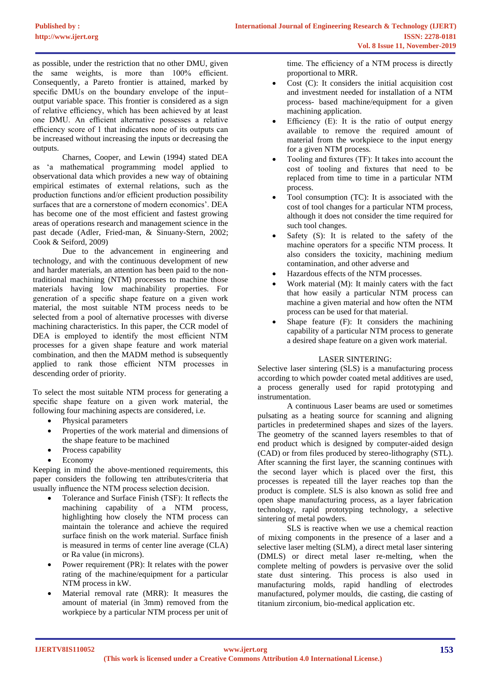as possible, under the restriction that no other DMU, given the same weights, is more than 100% efficient. Consequently, a Pareto frontier is attained, marked by specific DMUs on the boundary envelope of the input– output variable space. This frontier is considered as a sign of relative efficiency, which has been achieved by at least one DMU. An efficient alternative possesses a relative efficiency score of 1 that indicates none of its outputs can be increased without increasing the inputs or decreasing the outputs.

Charnes, Cooper, and Lewin (1994) stated DEA as 'a mathematical programming model applied to observational data which provides a new way of obtaining empirical estimates of external relations, such as the production functions and/or efficient production possibility surfaces that are a cornerstone of modern economics'. DEA has become one of the most efficient and fastest growing areas of operations research and management science in the past decade (Adler, Fried-man, & Sinuany-Stern, 2002; Cook & Seiford, 2009)

Due to the advancement in engineering and technology, and with the continuous development of new and harder materials, an attention has been paid to the nontraditional machining (NTM) processes to machine those materials having low machinability properties. For generation of a specific shape feature on a given work material, the most suitable NTM process needs to be selected from a pool of alternative processes with diverse machining characteristics. In this paper, the CCR model of DEA is employed to identify the most efficient NTM processes for a given shape feature and work material combination, and then the MADM method is subsequently applied to rank those efficient NTM processes in descending order of priority.

To select the most suitable NTM process for generating a specific shape feature on a given work material, the following four machining aspects are considered, i.e.

- Physical parameters
- Properties of the work material and dimensions of the shape feature to be machined
- Process capability
- Economy

Keeping in mind the above-mentioned requirements, this paper considers the following ten attributes/criteria that usually influence the NTM process selection decision.

- Tolerance and Surface Finish (TSF): It reflects the machining capability of a NTM process, highlighting how closely the NTM process can maintain the tolerance and achieve the required surface finish on the work material. Surface finish is measured in terms of center line average (CLA) or Ra value (in microns).
- Power requirement (PR): It relates with the power rating of the machine/equipment for a particular NTM process in kW.
- Material removal rate (MRR): It measures the amount of material (in 3mm) removed from the workpiece by a particular NTM process per unit of

time. The efficiency of a NTM process is directly proportional to MRR.

- Cost  $(C)$ : It considers the initial acquisition cost and investment needed for installation of a NTM process- based machine/equipment for a given machining application.
- Efficiency  $(E)$ : It is the ratio of output energy available to remove the required amount of material from the workpiece to the input energy for a given NTM process.
- Tooling and fixtures (TF): It takes into account the cost of tooling and fixtures that need to be replaced from time to time in a particular NTM process.
- Tool consumption (TC): It is associated with the cost of tool changes for a particular NTM process, although it does not consider the time required for such tool changes.
- Safety  $(S)$ : It is related to the safety of the machine operators for a specific NTM process. It also considers the toxicity, machining medium contamination, and other adverse and
- Hazardous effects of the NTM processes.
- Work material (M): It mainly caters with the fact that how easily a particular NTM process can machine a given material and how often the NTM process can be used for that material.
- Shape feature  $(F)$ : It considers the machining capability of a particular NTM process to generate a desired shape feature on a given work material.

#### LASER SINTERING:

Selective laser sintering (SLS) is a manufacturing process according to which powder coated metal additives are used, a process generally used for rapid prototyping and instrumentation.

A continuous Laser beams are used or sometimes pulsating as a heating source for scanning and aligning particles in predetermined shapes and sizes of the layers. The geometry of the scanned layers resembles to that of end product which is designed by computer-aided design (CAD) or from files produced by stereo-lithography (STL). After scanning the first layer, the scanning continues with the second layer which is placed over the first, this processes is repeated till the layer reaches top than the product is complete. SLS is also known as solid free and open shape manufacturing process, as a layer fabrication technology, rapid prototyping technology, a selective sintering of metal powders.

SLS is reactive when we use a chemical reaction of mixing components in the presence of a laser and a selective laser melting (SLM), a direct metal laser sintering (DMLS) or direct metal laser re-melting, when the complete melting of powders is pervasive over the solid state dust sintering. This process is also used in manufacturing molds, rapid handling of electrodes manufactured, polymer moulds, die casting, die casting of titanium zirconium, bio-medical application etc.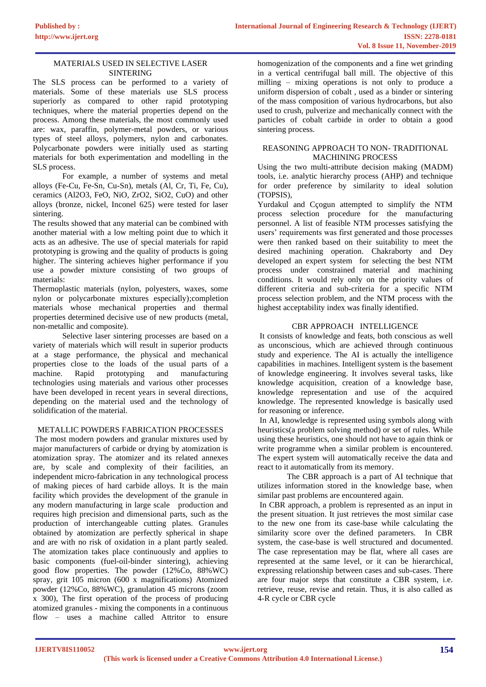## MATERIALS USED IN SELECTIVE LASER SINTERING

The SLS process can be performed to a variety of materials. Some of these materials use SLS process superiorly as compared to other rapid prototyping techniques, where the material properties depend on the process. Among these materials, the most commonly used are: wax, paraffin, polymer-metal powders, or various types of steel alloys, polymers, nylon and carbonates. Polycarbonate powders were initially used as starting materials for both experimentation and modelling in the SLS process.

For example, a number of systems and metal alloys (Fe-Cu, Fe-Sn, Cu-Sn), metals (Al, Cr, Ti, Fe, Cu), ceramics (Al2O3, FeO, NiO, ZrO2, SiO2, CuO) and other alloys (bronze, nickel, Inconel 625) were tested for laser sintering.

The results showed that any material can be combined with another material with a low melting point due to which it acts as an adhesive. The use of special materials for rapid prototyping is growing and the quality of products is going higher. The sintering achieves higher performance if you use a powder mixture consisting of two groups of materials:

Thermoplastic materials (nylon, polyesters, waxes, some nylon or polycarbonate mixtures especially);completion materials whose mechanical properties and thermal properties determined decisive use of new products (metal, non-metallic and composite).

Selective laser sintering processes are based on a variety of materials which will result in superior products at a stage performance, the physical and mechanical properties close to the loads of the usual parts of a machine. Rapid prototyping and manufacturing technologies using materials and various other processes have been developed in recent years in several directions, depending on the material used and the technology of solidification of the material.

## METALLIC POWDERS FABRICATION PROCESSES

The most modern powders and granular mixtures used by major manufacturers of carbide or drying by atomization is atomization spray. The atomizer and its related annexes are, by scale and complexity of their facilities, an independent micro-fabrication in any technological process of making pieces of hard carbide alloys. It is the main facility which provides the development of the granule in any modern manufacturing in large scale production and requires high precision and dimensional parts, such as the production of interchangeable cutting plates. Granules obtained by atomization are perfectly spherical in shape and are with no risk of oxidation in a plant partly sealed. The atomization takes place continuously and applies to basic components (fuel-oil-binder sintering), achieving good flow properties. The powder (12%Co, 88%WC) spray, grit 105 micron (600 x magnifications) Atomized powder (12%Co, 88%WC), granulation 45 microns (zoom x 300), The first operation of the process of producing atomized granules - mixing the components in a continuous flow – uses a machine called Attritor to ensure

homogenization of the components and a fine wet grinding in a vertical centrifugal ball mill. The objective of this milling – mixing operations is not only to produce a uniform dispersion of cobalt , used as a binder or sintering of the mass composition of various hydrocarbons, but also used to crush, pulverize and mechanically connect with the particles of cobalt carbide in order to obtain a good sintering process.

#### REASONING APPROACH TO NON- TRADITIONAL MACHINING PROCESS

Using the two multi-attribute decision making (MADM) tools, i.e. analytic hierarchy process (AHP) and technique for order preference by similarity to ideal solution (TOPSIS),

Yurdakul and Cçogun attempted to simplify the NTM process selection procedure for the manufacturing personnel. A list of feasible NTM processes satisfying the users' requirements was first generated and those processes were then ranked based on their suitability to meet the desired machining operation. Chakraborty and Dey developed an expert system for selecting the best NTM process under constrained material and machining conditions. It would rely only on the priority values of different criteria and sub‐criteria for a specific NTM process selection problem, and the NTM process with the highest acceptability index was finally identified.

## CBR APPROACH INTELLIGENCE

It consists of knowledge and feats, both conscious as well as unconscious, which are achieved through continuous study and experience. The AI is actually the intelligence capabilities in machines. Intelligent system is the basement of knowledge engineering. It involves several tasks, like knowledge acquisition, creation of a knowledge base, knowledge representation and use of the acquired knowledge. The represented knowledge is basically used for reasoning or inference.

In AI, knowledge is represented using symbols along with heuristics(a problem solving method) or set of rules. While using these heuristics, one should not have to again think or write programme when a similar problem is encountered. The expert system will automatically receive the data and react to it automatically from its memory.

The CBR approach is a part of AI technique that utilizes information stored in the knowledge base, when similar past problems are encountered again.

In CBR approach, a problem is represented as an input in the present situation. It just retrieves the most similar case to the new one from its case‐base while calculating the similarity score over the defined parameters. In CBR system, the case-base is well structured and documented. The case representation may be flat, where all cases are represented at the same level, or it can be hierarchical, expressing relationship between cases and sub‐cases. There are four major steps that constitute a CBR system, i.e. retrieve, reuse, revise and retain. Thus, it is also called as 4‐R cycle or CBR cycle